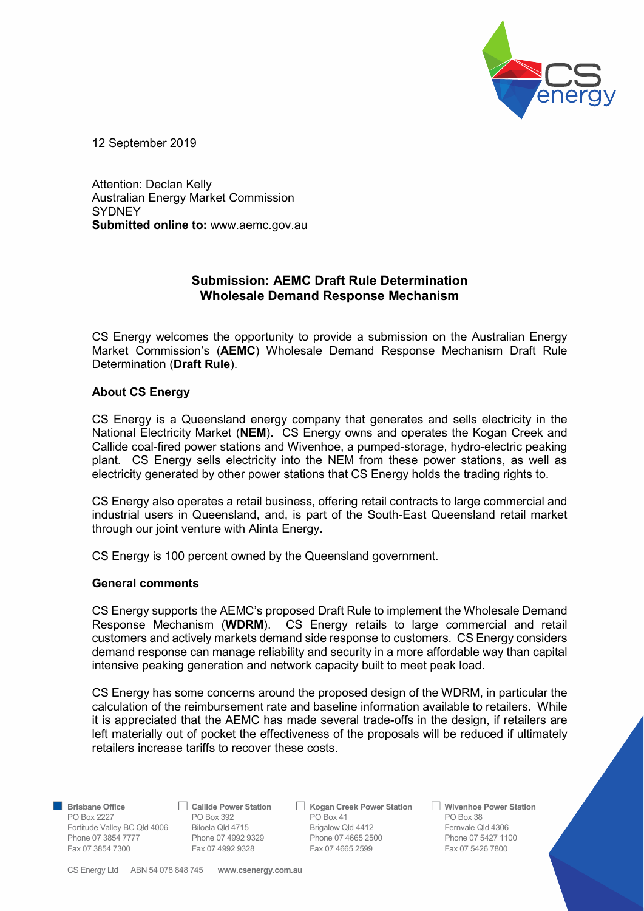

12 September 2019

Attention: Declan Kelly Australian Energy Market Commission **SYDNEY** Submitted online to: www.aemc.gov.au

## Submission: AEMC Draft Rule Determination Wholesale Demand Response Mechanism

CS Energy welcomes the opportunity to provide a submission on the Australian Energy Market Commission's (AEMC) Wholesale Demand Response Mechanism Draft Rule Determination (Draft Rule).

## About CS Energy

CS Energy is a Queensland energy company that generates and sells electricity in the National Electricity Market (NEM). CS Energy owns and operates the Kogan Creek and Callide coal-fired power stations and Wivenhoe, a pumped-storage, hydro-electric peaking plant. CS Energy sells electricity into the NEM from these power stations, as well as electricity generated by other power stations that CS Energy holds the trading rights to.

CS Energy also operates a retail business, offering retail contracts to large commercial and industrial users in Queensland, and, is part of the South-East Queensland retail market through our joint venture with Alinta Energy.

CS Energy is 100 percent owned by the Queensland government.

## General comments

CS Energy supports the AEMC's proposed Draft Rule to implement the Wholesale Demand Response Mechanism (WDRM). CS Energy retails to large commercial and retail customers and actively markets demand side response to customers. CS Energy considers demand response can manage reliability and security in a more affordable way than capital intensive peaking generation and network capacity built to meet peak load.

CS Energy has some concerns around the proposed design of the WDRM, in particular the calculation of the reimbursement rate and baseline information available to retailers. While it is appreciated that the AEMC has made several trade-offs in the design, if retailers are left materially out of pocket the effectiveness of the proposals will be reduced if ultimately retailers increase tariffs to recover these costs.

**Brisbane Office** Callide Power Station  $\Box$  Kogan Creek Power Station  $\Box$  Wivenhoe Power Station PO Box 2227 PO Box 392 PO Box 3641 PO Box 383 Fortitude Valley BC Qld 4006 Biloela Qld 4715 Brigalow Qld 4412 Fernvale Qld 4306 Phone 07 3854 7777 Phone 07 4992 9329 Phone 07 4665 2500 Phone 07 3854 7777 Phone 07 4992 9328 Phone 07 5427 1100 Fax 07 3854 7300 Fax 07 4992 9328 Fax 07 4665 2599 Fax 07 5426 7800

CS Energy Ltd ABN 54 078 848 745 www.csenergy.com.au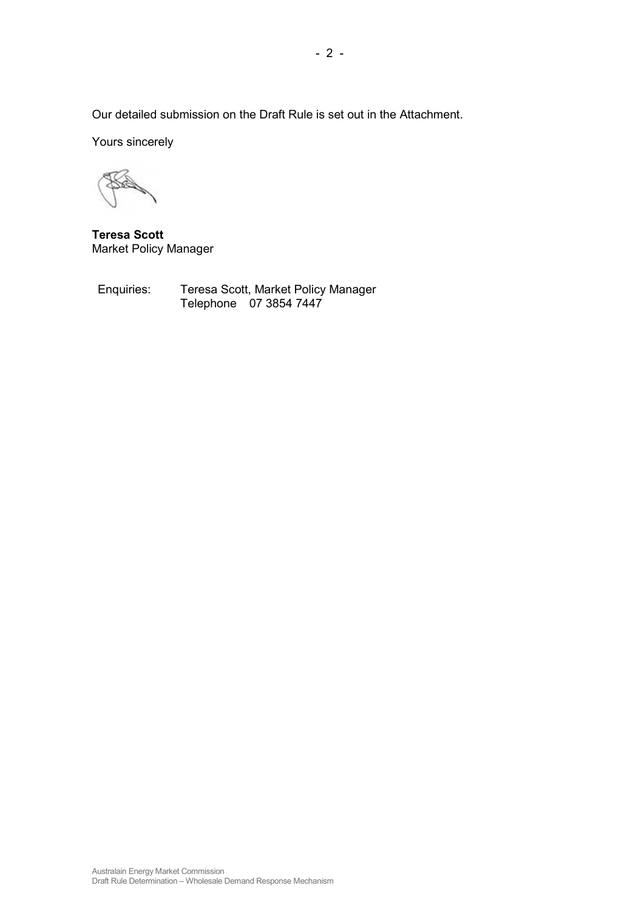Our detailed submission on the Draft Rule is set out in the Attachment.

Yours sincerely

Teresa Scott Market Policy Manager

Enquiries: Teresa Scott, Market Policy Manager Telephone 07 3854 7447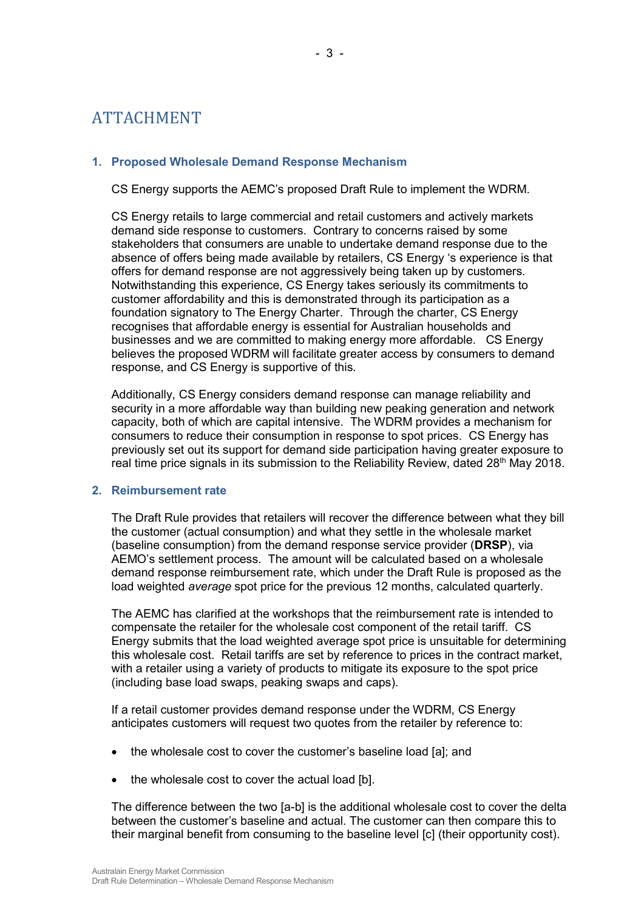# ATTACHMENT

## 1. Proposed Wholesale Demand Response Mechanism

CS Energy supports the AEMC's proposed Draft Rule to implement the WDRM.

CS Energy retails to large commercial and retail customers and actively markets demand side response to customers. Contrary to concerns raised by some stakeholders that consumers are unable to undertake demand response due to the absence of offers being made available by retailers, CS Energy 's experience is that offers for demand response are not aggressively being taken up by customers. Notwithstanding this experience, CS Energy takes seriously its commitments to customer affordability and this is demonstrated through its participation as a foundation signatory to The Energy Charter. Through the charter, CS Energy recognises that affordable energy is essential for Australian households and businesses and we are committed to making energy more affordable. CS Energy believes the proposed WDRM will facilitate greater access by consumers to demand response, and CS Energy is supportive of this.

Additionally, CS Energy considers demand response can manage reliability and security in a more affordable way than building new peaking generation and network capacity, both of which are capital intensive. The WDRM provides a mechanism for consumers to reduce their consumption in response to spot prices. CS Energy has previously set out its support for demand side participation having greater exposure to real time price signals in its submission to the Reliability Review, dated 28<sup>th</sup> May 2018.

## 2. Reimbursement rate

The Draft Rule provides that retailers will recover the difference between what they bill the customer (actual consumption) and what they settle in the wholesale market (baseline consumption) from the demand response service provider (DRSP), via AEMO's settlement process. The amount will be calculated based on a wholesale demand response reimbursement rate, which under the Draft Rule is proposed as the load weighted average spot price for the previous 12 months, calculated quarterly.

The AEMC has clarified at the workshops that the reimbursement rate is intended to compensate the retailer for the wholesale cost component of the retail tariff. CS Energy submits that the load weighted average spot price is unsuitable for determining this wholesale cost. Retail tariffs are set by reference to prices in the contract market, with a retailer using a variety of products to mitigate its exposure to the spot price (including base load swaps, peaking swaps and caps).

If a retail customer provides demand response under the WDRM, CS Energy anticipates customers will request two quotes from the retailer by reference to:

- the wholesale cost to cover the customer's baseline load [a]; and
- the wholesale cost to cover the actual load [b].

The difference between the two [a-b] is the additional wholesale cost to cover the delta between the customer's baseline and actual. The customer can then compare this to their marginal benefit from consuming to the baseline level [c] (their opportunity cost).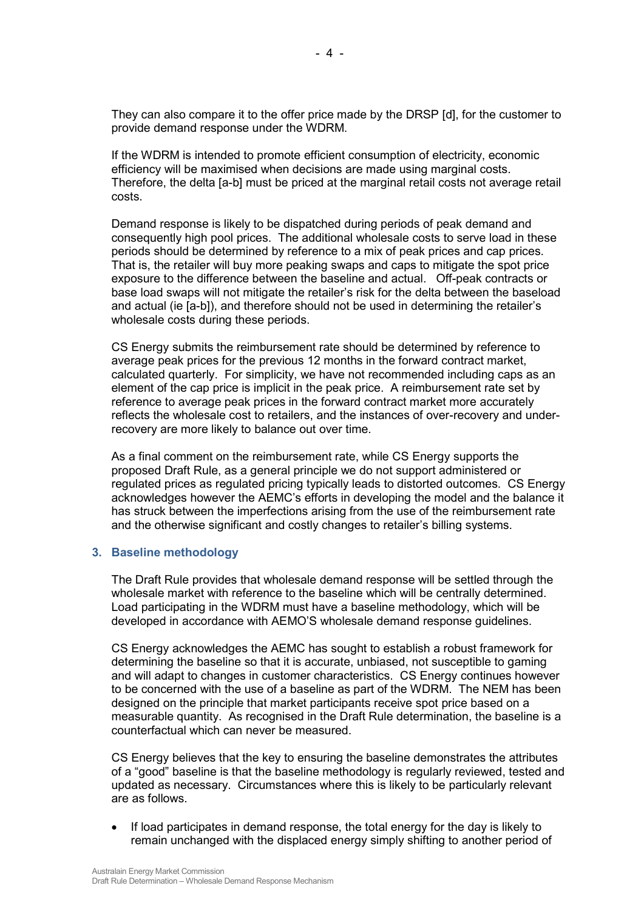They can also compare it to the offer price made by the DRSP [d], for the customer to provide demand response under the WDRM.

If the WDRM is intended to promote efficient consumption of electricity, economic efficiency will be maximised when decisions are made using marginal costs. Therefore, the delta [a-b] must be priced at the marginal retail costs not average retail costs.

Demand response is likely to be dispatched during periods of peak demand and consequently high pool prices. The additional wholesale costs to serve load in these periods should be determined by reference to a mix of peak prices and cap prices. That is, the retailer will buy more peaking swaps and caps to mitigate the spot price exposure to the difference between the baseline and actual. Off-peak contracts or base load swaps will not mitigate the retailer's risk for the delta between the baseload and actual (ie [a-b]), and therefore should not be used in determining the retailer's wholesale costs during these periods.

CS Energy submits the reimbursement rate should be determined by reference to average peak prices for the previous 12 months in the forward contract market, calculated quarterly. For simplicity, we have not recommended including caps as an element of the cap price is implicit in the peak price. A reimbursement rate set by reference to average peak prices in the forward contract market more accurately reflects the wholesale cost to retailers, and the instances of over-recovery and underrecovery are more likely to balance out over time.

As a final comment on the reimbursement rate, while CS Energy supports the proposed Draft Rule, as a general principle we do not support administered or regulated prices as regulated pricing typically leads to distorted outcomes. CS Energy acknowledges however the AEMC's efforts in developing the model and the balance it has struck between the imperfections arising from the use of the reimbursement rate and the otherwise significant and costly changes to retailer's billing systems.

#### 3. Baseline methodology

The Draft Rule provides that wholesale demand response will be settled through the wholesale market with reference to the baseline which will be centrally determined. Load participating in the WDRM must have a baseline methodology, which will be developed in accordance with AEMO'S wholesale demand response guidelines.

CS Energy acknowledges the AEMC has sought to establish a robust framework for determining the baseline so that it is accurate, unbiased, not susceptible to gaming and will adapt to changes in customer characteristics. CS Energy continues however to be concerned with the use of a baseline as part of the WDRM. The NEM has been designed on the principle that market participants receive spot price based on a measurable quantity. As recognised in the Draft Rule determination, the baseline is a counterfactual which can never be measured.

CS Energy believes that the key to ensuring the baseline demonstrates the attributes of a "good" baseline is that the baseline methodology is regularly reviewed, tested and updated as necessary. Circumstances where this is likely to be particularly relevant are as follows.

 If load participates in demand response, the total energy for the day is likely to remain unchanged with the displaced energy simply shifting to another period of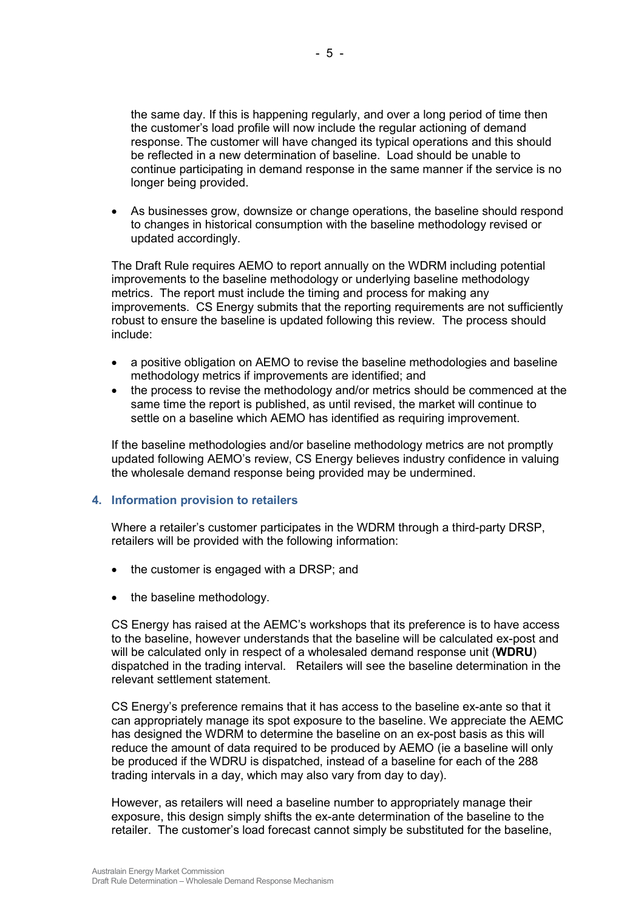the same day. If this is happening regularly, and over a long period of time then the customer's load profile will now include the regular actioning of demand response. The customer will have changed its typical operations and this should be reflected in a new determination of baseline. Load should be unable to continue participating in demand response in the same manner if the service is no longer being provided.

 As businesses grow, downsize or change operations, the baseline should respond to changes in historical consumption with the baseline methodology revised or updated accordingly.

The Draft Rule requires AEMO to report annually on the WDRM including potential improvements to the baseline methodology or underlying baseline methodology metrics. The report must include the timing and process for making any improvements. CS Energy submits that the reporting requirements are not sufficiently robust to ensure the baseline is updated following this review. The process should include:

- a positive obligation on AEMO to revise the baseline methodologies and baseline methodology metrics if improvements are identified; and
- the process to revise the methodology and/or metrics should be commenced at the same time the report is published, as until revised, the market will continue to settle on a baseline which AEMO has identified as requiring improvement.

If the baseline methodologies and/or baseline methodology metrics are not promptly updated following AEMO's review, CS Energy believes industry confidence in valuing the wholesale demand response being provided may be undermined.

## 4. Information provision to retailers

Where a retailer's customer participates in the WDRM through a third-party DRSP, retailers will be provided with the following information:

- the customer is engaged with a DRSP; and
- the baseline methodology.

CS Energy has raised at the AEMC's workshops that its preference is to have access to the baseline, however understands that the baseline will be calculated ex-post and will be calculated only in respect of a wholesaled demand response unit (**WDRU**) dispatched in the trading interval. Retailers will see the baseline determination in the relevant settlement statement.

CS Energy's preference remains that it has access to the baseline ex-ante so that it can appropriately manage its spot exposure to the baseline. We appreciate the AEMC has designed the WDRM to determine the baseline on an ex-post basis as this will reduce the amount of data required to be produced by AEMO (ie a baseline will only be produced if the WDRU is dispatched, instead of a baseline for each of the 288 trading intervals in a day, which may also vary from day to day).

However, as retailers will need a baseline number to appropriately manage their exposure, this design simply shifts the ex-ante determination of the baseline to the retailer. The customer's load forecast cannot simply be substituted for the baseline,